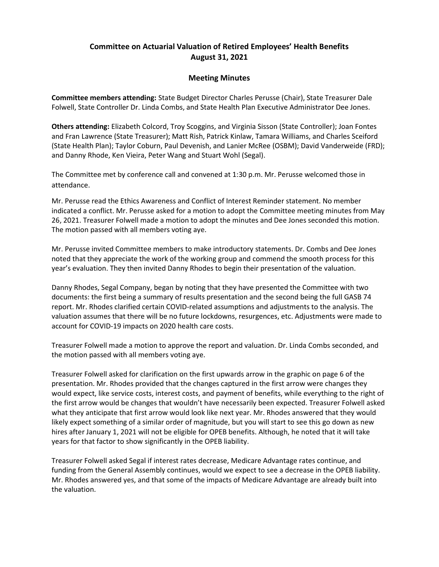## Committee on Actuarial Valuation of Retired Employees' Health Benefits August 31, 2021

## Meeting Minutes

Committee members attending: State Budget Director Charles Perusse (Chair), State Treasurer Dale Folwell, State Controller Dr. Linda Combs, and State Health Plan Executive Administrator Dee Jones.

Others attending: Elizabeth Colcord, Troy Scoggins, and Virginia Sisson (State Controller); Joan Fontes and Fran Lawrence (State Treasurer); Matt Rish, Patrick Kinlaw, Tamara Williams, and Charles Sceiford (State Health Plan); Taylor Coburn, Paul Devenish, and Lanier McRee (OSBM); David Vanderweide (FRD); and Danny Rhode, Ken Vieira, Peter Wang and Stuart Wohl (Segal).

The Committee met by conference call and convened at 1:30 p.m. Mr. Perusse welcomed those in attendance.

Mr. Perusse read the Ethics Awareness and Conflict of Interest Reminder statement. No member indicated a conflict. Mr. Perusse asked for a motion to adopt the Committee meeting minutes from May 26, 2021. Treasurer Folwell made a motion to adopt the minutes and Dee Jones seconded this motion. The motion passed with all members voting aye.

Mr. Perusse invited Committee members to make introductory statements. Dr. Combs and Dee Jones noted that they appreciate the work of the working group and commend the smooth process for this year's evaluation. They then invited Danny Rhodes to begin their presentation of the valuation.

Danny Rhodes, Segal Company, began by noting that they have presented the Committee with two documents: the first being a summary of results presentation and the second being the full GASB 74 report. Mr. Rhodes clarified certain COVID-related assumptions and adjustments to the analysis. The valuation assumes that there will be no future lockdowns, resurgences, etc. Adjustments were made to account for COVID-19 impacts on 2020 health care costs.

Treasurer Folwell made a motion to approve the report and valuation. Dr. Linda Combs seconded, and the motion passed with all members voting aye.

Treasurer Folwell asked for clarification on the first upwards arrow in the graphic on page 6 of the presentation. Mr. Rhodes provided that the changes captured in the first arrow were changes they would expect, like service costs, interest costs, and payment of benefits, while everything to the right of the first arrow would be changes that wouldn't have necessarily been expected. Treasurer Folwell asked what they anticipate that first arrow would look like next year. Mr. Rhodes answered that they would likely expect something of a similar order of magnitude, but you will start to see this go down as new hires after January 1, 2021 will not be eligible for OPEB benefits. Although, he noted that it will take years for that factor to show significantly in the OPEB liability.

Treasurer Folwell asked Segal if interest rates decrease, Medicare Advantage rates continue, and funding from the General Assembly continues, would we expect to see a decrease in the OPEB liability. Mr. Rhodes answered yes, and that some of the impacts of Medicare Advantage are already built into the valuation.